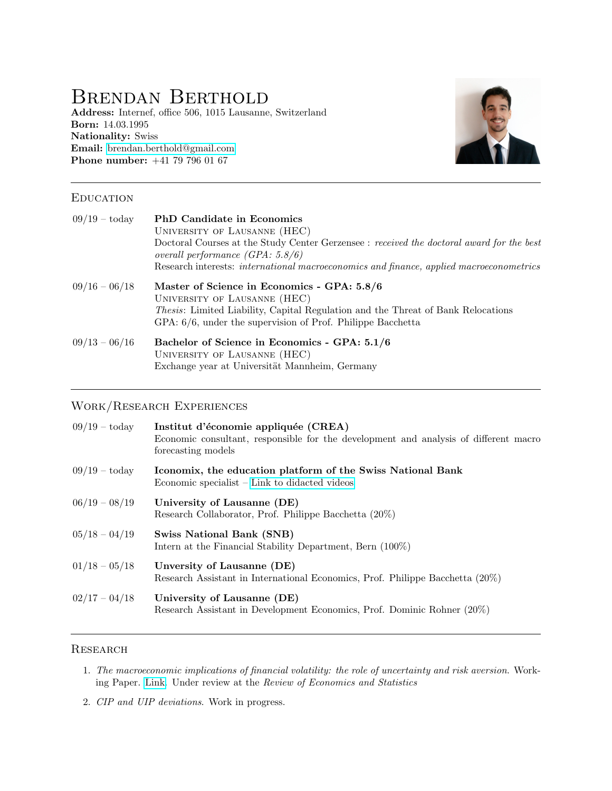# Brendan Berthold

Address: Internef, office 506, 1015 Lausanne, Switzerland Born: 14.03.1995 Nationality: Swiss Email: [brendan.berthold@gmail.com](mailto:brendan.berthold@unil.com) Phone number: +41 79 796 01 67



#### **EDUCATION**

| $09/19 - \text{today}$ | <b>PhD</b> Candidate in Economics<br>UNIVERSITY OF LAUSANNE (HEC)<br>Doctoral Courses at the Study Center Gerzensee : received the doctoral award for the best<br>overall performance $(GPA: 5.8/6)$<br>Research interests: <i>international macroeconomics and finance</i> , <i>applied macroeconometrics</i> |
|------------------------|----------------------------------------------------------------------------------------------------------------------------------------------------------------------------------------------------------------------------------------------------------------------------------------------------------------|
| $09/16 - 06/18$        | Master of Science in Economics - GPA: 5.8/6<br>UNIVERSITY OF LAUSANNE (HEC)<br><i>Thesis:</i> Limited Liability, Capital Regulation and the Threat of Bank Relocations<br>GPA: 6/6, under the supervision of Prof. Philippe Bacchetta                                                                          |
| $09/13 - 06/16$        | Bachelor of Science in Economics - GPA: 5.1/6<br>UNIVERSITY OF LAUSANNE (HEC)<br>Exchange year at Universität Mannheim, Germany                                                                                                                                                                                |

# Work/Research Experiences

| $09/19 - \text{today}$ | Institut d'économie appliquée (CREA)<br>Economic consultant, responsible for the development and analysis of different macro<br>forecasting models |
|------------------------|----------------------------------------------------------------------------------------------------------------------------------------------------|
| $09/19 - \text{today}$ | Iconomix, the education platform of the Swiss National Bank<br>Economic specialist – Link to didacted videos                                       |
| $06/19 - 08/19$        | University of Lausanne (DE)<br>Research Collaborator, Prof. Philippe Bacchetta (20%)                                                               |
| $05/18 - 04/19$        | <b>Swiss National Bank (SNB)</b><br>Intern at the Financial Stability Department, Bern (100%)                                                      |
| $01/18 - 05/18$        | Unversity of Lausanne (DE)<br>Research Assistant in International Economics, Prof. Philippe Bacchetta (20%)                                        |
| $02/17 - 04/18$        | University of Lausanne (DE)<br>Research Assistant in Development Economics, Prof. Dominic Rohner (20%)                                             |

#### **RESEARCH**

- 1. The macroeconomic implications of financial volatility: the role of uncertainty and risk aversion. Working Paper. [Link.](https://www.brendanberthold.com/research/wp/MacroImplicationFinVolatility_paper.pdf) Under review at the Review of Economics and Statistics
- 2. CIP and UIP deviations. Work in progress.